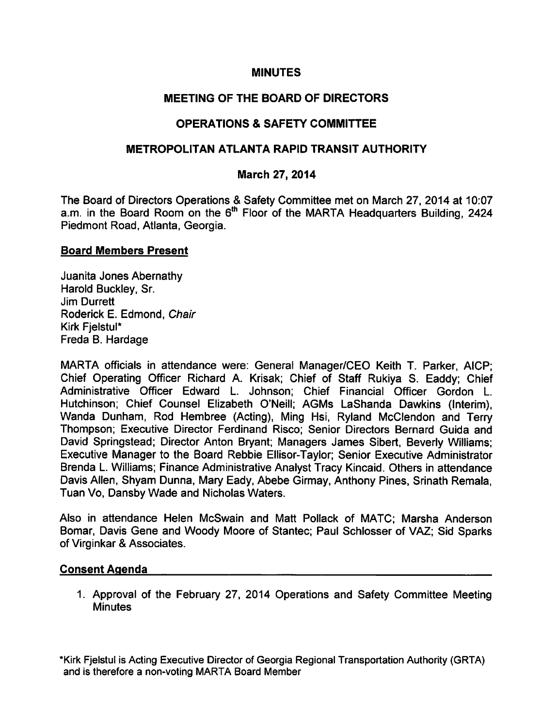### **MINUTES**

# MEETING OF THE BOARD OF DIRECTORS

# OPERATIONS & SAFETY COMMITTEE

## METROPOLITAN ATLANTA RAPID TRANSIT AUTHORITY

# March 27, 2014

The Board of Directors Operations & Safety Committee met on March 27, 2014 at 10:07 a.m. in the Board Room on the 6<sup>th</sup> Floor of the MARTA Headquarters Building, 2424 Piedmont Road, Atlanta, Georgia.

#### Board Members Present

Juanita Jones Abemathy Harold Buckley, Sr. Jim Durrett Roderick E. Edmond, Chair Kirk FjelstuI\* Freda B. Hardage

MARTA officials in attendance were: General Manager/CEO Keith T. Parker, AICP; Chief Operating Officer Richard A. Krisak; Chief of Staff Rukiya S. Eaddy; Chief Administrative Officer Edward L. Johnson; Chief Financial Officer Gordon L. Hutchinson; Chief Counsel Elizabeth O'Neill; AGMs LaShanda Dawkins (Interim), Wanda Dunham, Rod Hembree (Acting), Ming Hsi, Ryland McClendon and Terry Thompson; Executive Director Ferdinand Risco; Senior Directors Bernard Guida and David Springstead; Director Anton Bryant; Managers James Sibert, Beverly Williams; Executive Manager to the Board Rebbie Ellisor-Taylor; Senior Executive Administrator Brenda L. Williams; Finance Administrative Analyst Tracy Kincaid. Others in attendance Davis Allen, Shyam Dunna, Mary Eady, Abebe Girmay, Anthony Pines, Srinath Remala, Tuan Vo, Dansby Wade and Nicholas Waters.

Also in attendance Helen McSwain and Matt Pollack of MATC; Marsha Anderson Bomar, Davis Gene and Woody Moore of Stantec; Paul Schlosser of VAZ; Sid Sparks of Virginkar & Associates.

### Consent Agenda

1. Approval of the February 27, 2014 Operations and Safety Committee Meeting **Minutes** 

\*Kirk FjelstuI is Acting Executive Director of Georgia Regional Transportation Authority (GRTA) and is therefore a non-voting MARTA Board Member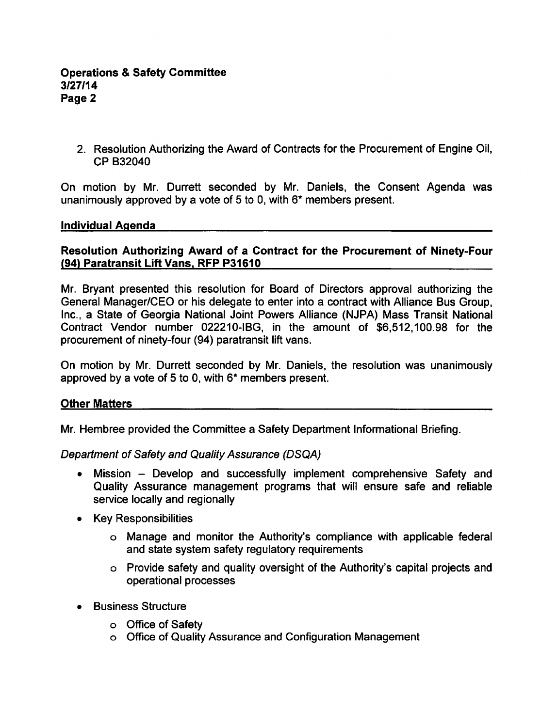### **Operations & Safety Committee** 3/27/14 Page

2. Resolution Authorizing the Award of Contracts for the Procurement of Engine Oil, CP B32040

On motion by Mr. Durrett seconded by Mr. Daniels, the Consent Agenda was unanimously approved by a vote of 5 to 0, with  $6*$  members present.

#### Individual Agenda

### Resolution Authorizing Award of a Contract for the Procurement of Ninety-Four (94) Paratransit Lift Vans. RFP P31610

Mr. Bryant presented this resolution for Board of Directors approval authorizing the General Manager/CEO or his delegate to enter into a contract with Alliance Bus Group, Inc., a State of Georgia National Joint Powers Alliance (NJPA) Mass Transit National Contract Vendor number 022210-IBG, in the amount of \$6,512,100.98 for the procurement of ninety-four (94) paratransit lift vans.

On motion by Mr. Durrett seconded by Mr. Daniels, the resolution was unanimously approved by a vote of 5 to 0, with  $6*$  members present.

#### Other Matters

Mr. Hembree provided the Committee a Safety Department Informational Briefing.

Department of Safety and Quality Assurance (DSQA)

- Mission Develop and successfully implement comprehensive Safety and  $\bullet$ Quality Assurance management programs that will ensure safe and reliable service locally and regionally
- Key Responsibilities
	- Manage and monitor the Authority's compliance with applicable federal and state system safety regulatory requirements
	- Provide safety and quality oversight of the Authority's capital projects and operational processes
- Business Structure  $\bullet$ 
	- o Office of Safety
	- Office of Quality Assurance and Configuration Management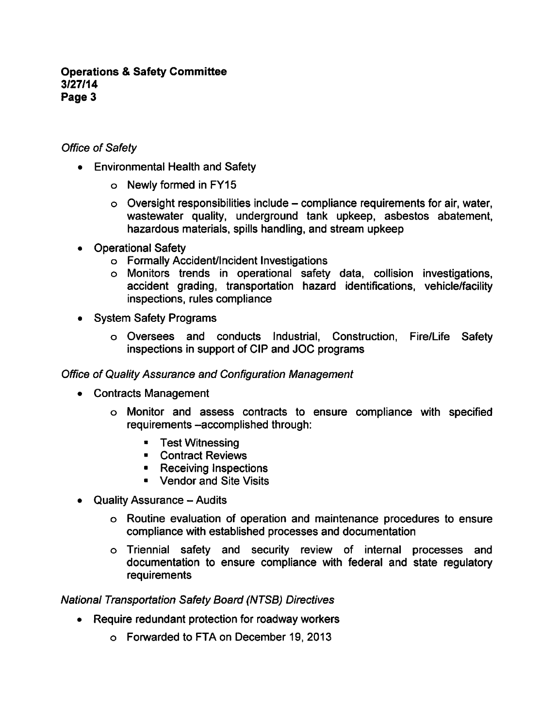### **Operations & Safety Committee** 3/27/14 Page 3

## Office of Safety

- Environmental Health and Safety
	- Newly formed in FY15
	- $\circ$  Oversight responsibilities include compliance requirements for air, water, wastewater quality, underground tank upkeep, asbestos abatement, hazardous materials, spills handling, and stream upkeep
- Operational Safety  $\bullet$ 
	- Formally Accident/Incident Investigations
	- Monitors trends in operational safety data, collision investigations, accident grading, transportation hazard identifications, vehicle/facility inspections, rules compliance
- System Safety Programs
	- Oversees and conducts Industrial, Construction, Fire/Life Safety inspections in support of CIP and JOC programs

### Office of Quality Assurance and Configuration Management

- Contracts Management
	- Monitor and assess contracts to ensure compliance with specified requirements -accomplished through:
		- Test Witnessing
		- Contract Reviews
		- Receiving Inspections
		- Vendor and Site Visits
- Quality Assurance Audits
	- Routine evaluation of operation and maintenance procedures to ensure compliance with established processes and documentation
	- Triennial safety and security review of internal processes and documentation to ensure compliance with federal and state regulatory requirements

National Transportation Safety Board (NTSB) Directives

- Require redundant protection for roadway workers
	- Forwarded to FTA on December 19, 2013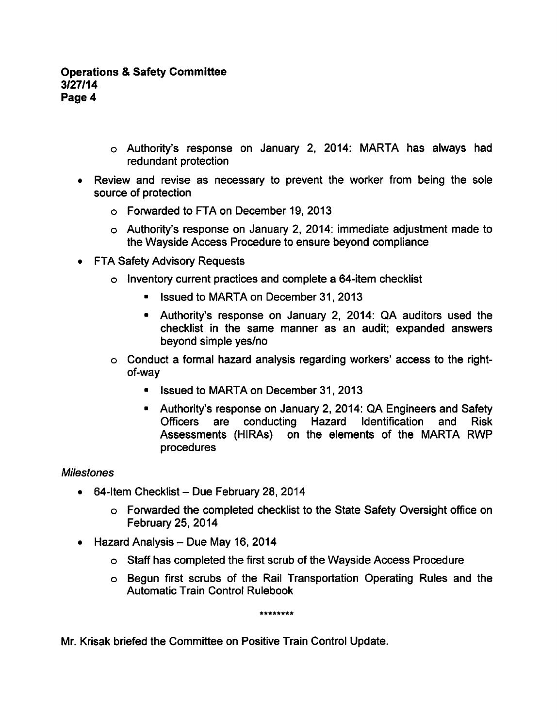- Authority's response on January 2, 2014: MARTA has always had redundant protection
- Review and revise as necessary to prevent the worker from being the sole source of protection
	- Forwarded to FTA on December 19, 2013
	- Authority's response on January 2, 2014: immediate adjustment made to the Wayside Access Procedure to ensure beyond compliance
- FTA Safety Advisory Requests
	- o Inventory current practices and complete a 64-item checklist
		- **In Issued to MARTA on December 31, 2013**
		- Authority's response on January 2, 2014: QA auditors used the checklist in the same manner as an audit; expanded answers beyond simple yes/no
	- $\circ$  Conduct a formal hazard analysis regarding workers' access to the rightof-way
		- **E** Issued to MARTA on December 31, 2013
		- Authority's response on January 2, 2014: QA Engineers and Safety Officers are conducting Hazard Identification and Risk Assessments (HIRAs) on the elements of the MARTA RWP procedures

#### **Milestones**

- $\bullet$  64-Item Checklist Due February 28, 2014
	- Forwarded the completed checklist to the State Safety Oversight office on February 25, 2014
- $\bullet$  Hazard Analysis Due May 16, 2014
	- Staff has completed the first scrub of the Wayside Access Procedure
	- Begun first scrubs of the Rail Transportation Operating Rules and the Automatic Train Control Rulebook

\*\*\*\*\*\*\*\*

Mr. Krisak briefed the Committee on Positive Train Control Update.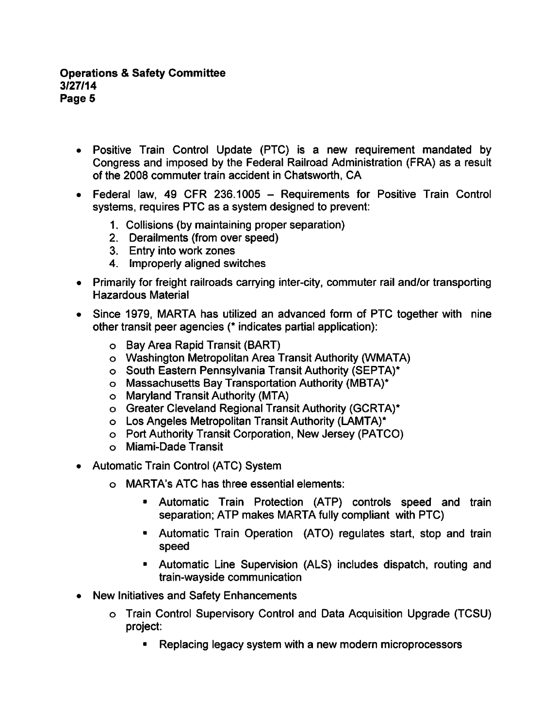- Positive Train Control Update (PTC) is a new requirement mandated by Congress and imposed by the Federal Railroad Administration (FRA) as a result of the 2008 commuter train accident in Chatsworth, CA
- Federal law, 49 CFR 236.1005 Requirements for Positive Train Control systems, requires PTC as a system designed to prevent:
	- 1. Collisions (by maintaining proper separation)
	- 2. Derailments (from over speed)
	- 3. Entry into work zones
	- 4. Improperly aligned switches
- Primarily for freight railroads carrying inter-city, commuter rail and/or transporting Hazardous Material
- Since 1979, MARTA has utilized an advanced form of PTC together with nine other transit peer agencies (\* indicates partial application):
	- Bay Area Rapid Transit (BART)
	- Washington Metropolitan Area Transit Authority (WMATA)
	- o South Eastern Pennsylvania Transit Authority (SEPTA)\*
	- Massachusetts Bay Transportation Authority (MBTA)\*
	- Maryland Transit Authority (MTA)
	- Greater Cleveland Regional Transit Authority (GCRTA)\*
	- Los Angeles Metropolitan Transit Authority (LAMTA)\*
	- Port Authority Transit Corporation, New Jersey (PATCO)
	- Miami-Dade Transit
- Automatic Train Control (ATC) System
	- MARTA's ATC has three essential elements:
		- Automatic Train Protection (ATP) controls speed and train separation; ATP makes MARTA fully compliant with PTC)
		- Automatic Train Operation (ATO) regulates start, stop and train speed
		- Automatic Line Supervision (ALS) includes dispatch, routing and train-wayside communication
- New Initiatives and Safety Enhancements
	- Train Control Supervisory Control and Data Acquisition Upgrade (TCSU) project:
		- Replacing legacy system with a new modern microprocessors